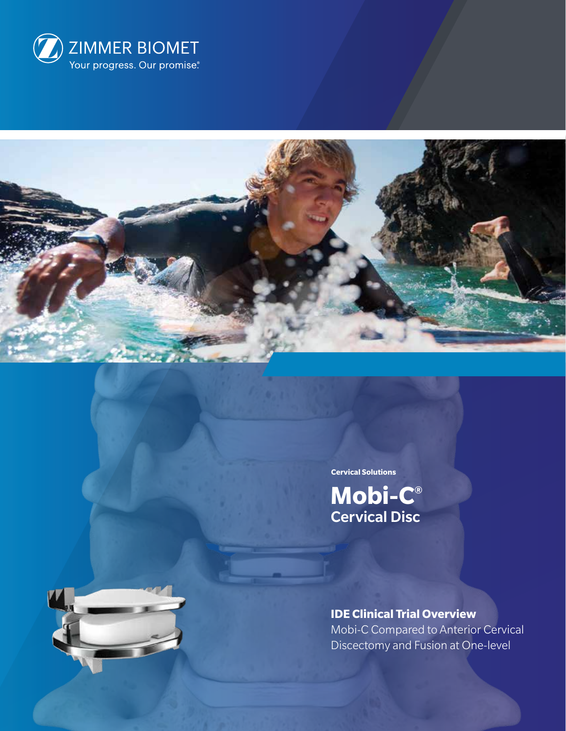



**Cervical Solutions**

**Mobi-C®** Cervical Disc



**IDE Clinical Trial Overview** Mobi-C Compared to Anterior Cervical Discectomy and Fusion at One-level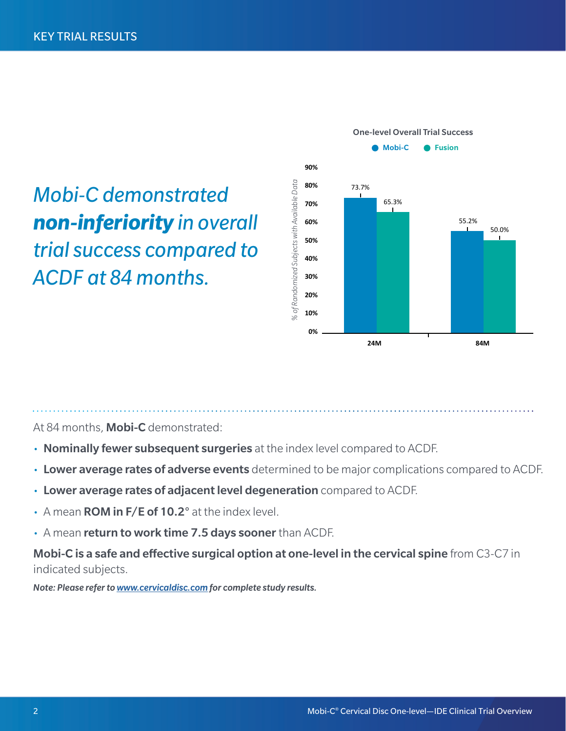*Mobi-C demonstrated non-inferiority in overall trial success compared to ACDF at 84 months.*



At 84 months, **Mobi-C** demonstrated:

- Nominally fewer subsequent surgeries at the index level compared to ACDF.
- Lower average rates of adverse events determined to be major complications compared to ACDF.
- Lower average rates of adjacent level degeneration compared to ACDF.
- $\cdot$  A mean **ROM in F/E of 10.2**° at the index level.
- A mean return to work time 7.5 days sooner than ACDF.

Mobi-C is a safe and effective surgical option at one-level in the cervical spine from C3-C7 in indicated subjects.

*Note: Please refer to www.cervicaldisc.com for complete study results.*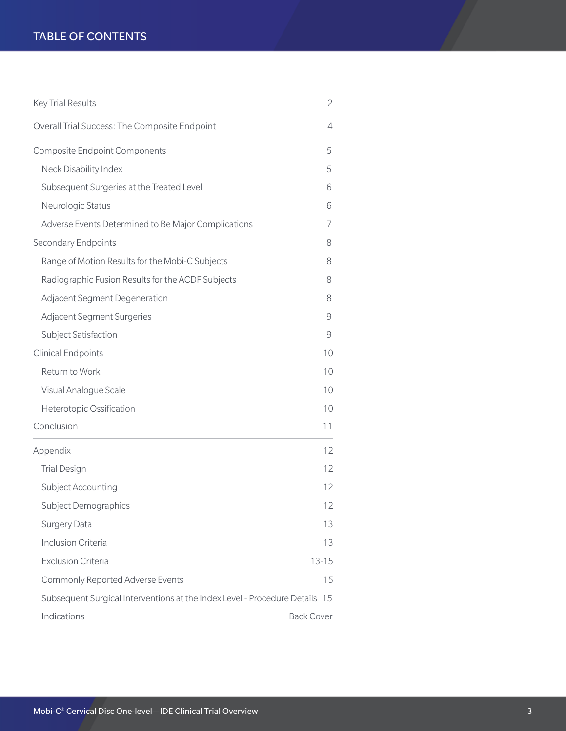# TABLE OF CONTENTS

| <b>Key Trial Results</b>                                                    | $\overline{2}$    |
|-----------------------------------------------------------------------------|-------------------|
| Overall Trial Success: The Composite Endpoint                               | $\overline{4}$    |
| <b>Composite Endpoint Components</b>                                        | 5                 |
| Neck Disability Index                                                       | 5                 |
| Subsequent Surgeries at the Treated Level                                   | 6                 |
| Neurologic Status                                                           | 6                 |
| Adverse Events Determined to Be Major Complications                         | 7                 |
| Secondary Endpoints                                                         | 8                 |
| Range of Motion Results for the Mobi-C Subjects                             | 8                 |
| Radiographic Fusion Results for the ACDF Subjects                           | 8                 |
| Adjacent Segment Degeneration                                               | 8                 |
| <b>Adjacent Segment Surgeries</b>                                           | 9                 |
| Subject Satisfaction                                                        | 9                 |
| <b>Clinical Endpoints</b>                                                   | 10                |
| Return to Work                                                              | 10                |
| Visual Analogue Scale                                                       | 10                |
| Heterotopic Ossification                                                    | 10                |
| Conclusion                                                                  | 11                |
| Appendix                                                                    | 12                |
| <b>Trial Design</b>                                                         | 12                |
| Subject Accounting                                                          | 12                |
| Subject Demographics                                                        | 12                |
| <b>Surgery Data</b>                                                         | 13                |
| <b>Inclusion Criteria</b>                                                   | 13                |
| <b>Exclusion Criteria</b>                                                   | $13 - 15$         |
| Commonly Reported Adverse Events                                            | 15                |
| Subsequent Surgical Interventions at the Index Level - Procedure Details 15 |                   |
| Indications                                                                 | <b>Back Cover</b> |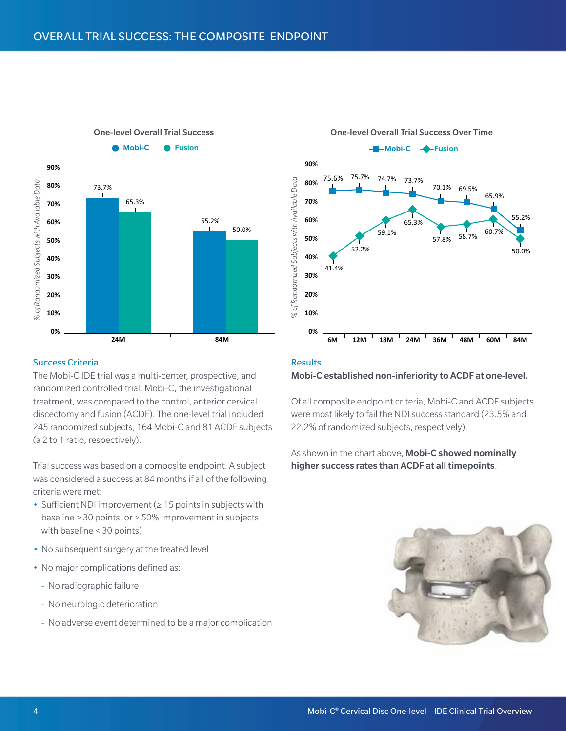

# One-level Overall Trial Success Over Time



#### Success Criteria

The Mobi-C IDE trial was a multi-center, prospective, and randomized controlled trial. Mobi-C, the investigational treatment, was compared to the control, anterior cervical discectomy and fusion (ACDF). The one-level trial included 245 randomized subjects, 164 Mobi-C and 81 ACDF subjects (a 2 to 1 ratio, respectively).

Trial success was based on a composite endpoint. A subject was considered a success at 84 months if all of the following criteria were met:

- Sufficient NDI improvement (≥ 15 points in subjects with baseline ≥ 30 points, or ≥ 50% improvement in subjects with baseline < 30 points)
- No subsequent surgery at the treated level
- No major complications defined as:
	- No radiographic failure
	- No neurologic deterioration
	- --   No adverse event determined to be a major complication

#### **Results**

#### Mobi-C established non-inferiority to ACDF at one-level.

Of all composite endpoint criteria, Mobi-C and ACDF subjects were most likely to fail the NDI success standard (23.5% and 22.2% of randomized subjects, respectively).

As shown in the chart above, Mobi-C showed nominally

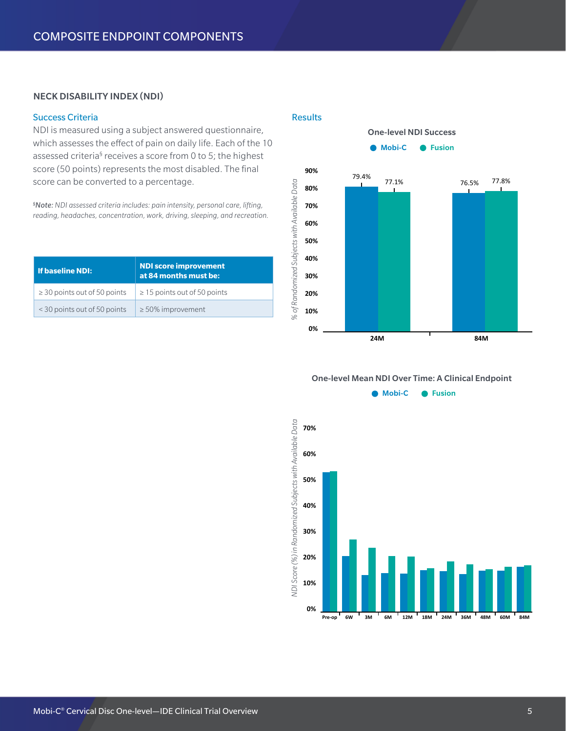# NECK DISABILITY INDEX (NDI)

### Success Criteria

NDI is measured using a subject answered questionnaire, which assesses the effect of pain on daily life. Each of the 10 assessed criteria<sup>§</sup> receives a score from 0 to 5; the highest score (50 points) represents the most disabled. The final score can be converted to a percentage.

*§ Note: NDI assessed criteria includes: pain intensity, personal care, lifting, reading, headaches, concentration, work, driving, sleeping, and recreation.*

| l If baseline NDI:                | <b>NDI score improvement</b><br>at 84 months must be: |
|-----------------------------------|-------------------------------------------------------|
| $\geq$ 30 points out of 50 points | $\geq$ 15 points out of 50 points                     |
| < 30 points out of 50 points      | $\geq$ 50% improvement                                |

#### **Results**



#### One-level Mean NDI Over Time: A Clinical Endpoint

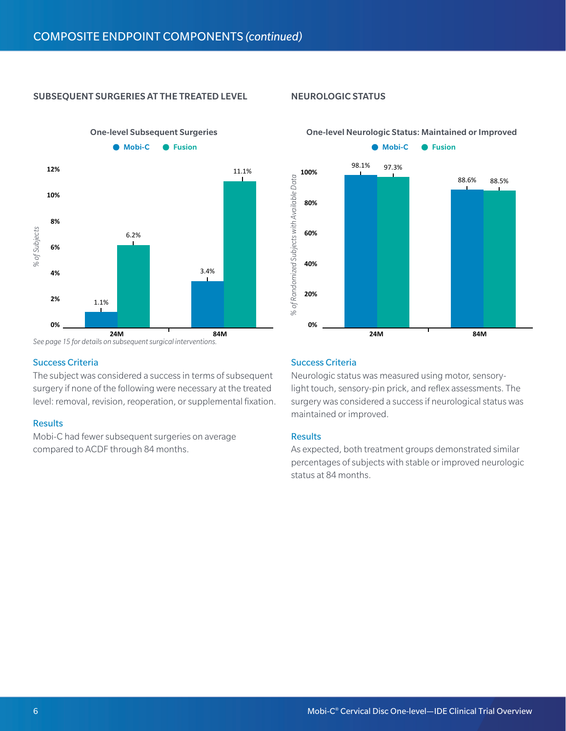# SUBSEQUENT SURGERIES AT THE TREATED LEVEL

One-level Subsequent Surgeries



*See page 15 for details on subsequent surgical interventions.* **24M 84M**

#### Success Criteria

The subject was considered a success in terms of subsequent surgery if none of the following were necessary at the treated level: removal, revision, reoperation, or supplemental fixation.

#### **Results**

Mobi-C had fewer subsequent surgeries on average compared to ACDF through 84 months.

## NEUROLOGIC STATUS



#### One-level Neurologic Status: Maintained or Improved

# Success Criteria

Neurologic status was measured using motor, sensorylight touch, sensory-pin prick, and reflex assessments. The surgery was considered a success if neurological status was maintained or improved.

#### **Results**

As expected, both treatment groups demonstrated similar percentages of subjects with stable or improved neurologic status at 84 months.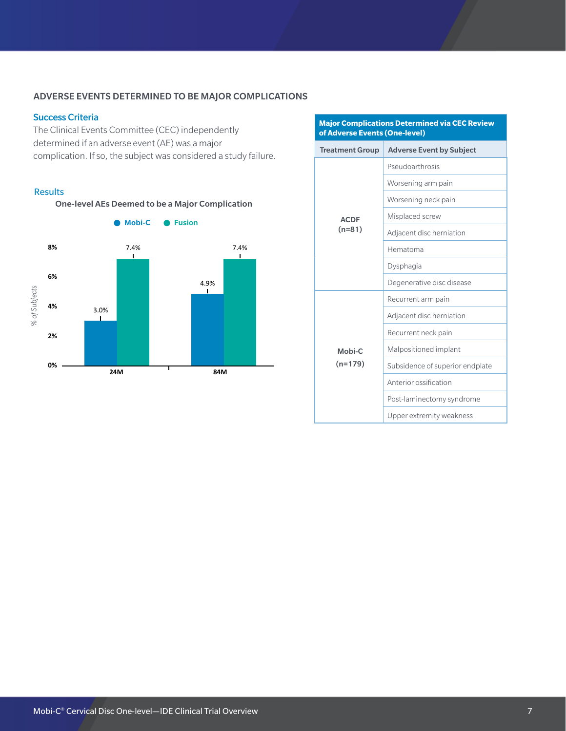# ADVERSE EVENTS DETERMINED TO BE MAJOR COMPLICATIONS

#### Success Criteria

The Clinical Events Committee (CEC) independently determined if an adverse event (AE) was a major complication. If so, the subject was considered a study failure.

#### **Results**



| <b>Major Complications Determined via CEC Review</b><br>of Adverse Events (One-level) |                                 |  |
|---------------------------------------------------------------------------------------|---------------------------------|--|
| <b>Treatment Group</b>                                                                | <b>Adverse Event by Subject</b> |  |
|                                                                                       | Pseudoarthrosis                 |  |
|                                                                                       | Worsening arm pain              |  |
|                                                                                       | Worsening neck pain             |  |
| <b>ACDF</b>                                                                           | Misplaced screw                 |  |
| $(n=81)$                                                                              | Adjacent disc herniation        |  |
|                                                                                       | Hematoma                        |  |
|                                                                                       | Dysphagia                       |  |
|                                                                                       | Degenerative disc disease       |  |
|                                                                                       | Recurrent arm pain              |  |
|                                                                                       | Adjacent disc herniation        |  |
|                                                                                       | Recurrent neck pain             |  |
| Mobi-C                                                                                | Malpositioned implant           |  |
| $(n=179)$                                                                             | Subsidence of superior endplate |  |
|                                                                                       | Anterior ossification           |  |
|                                                                                       | Post-laminectomy syndrome       |  |
|                                                                                       | Upper extremity weakness        |  |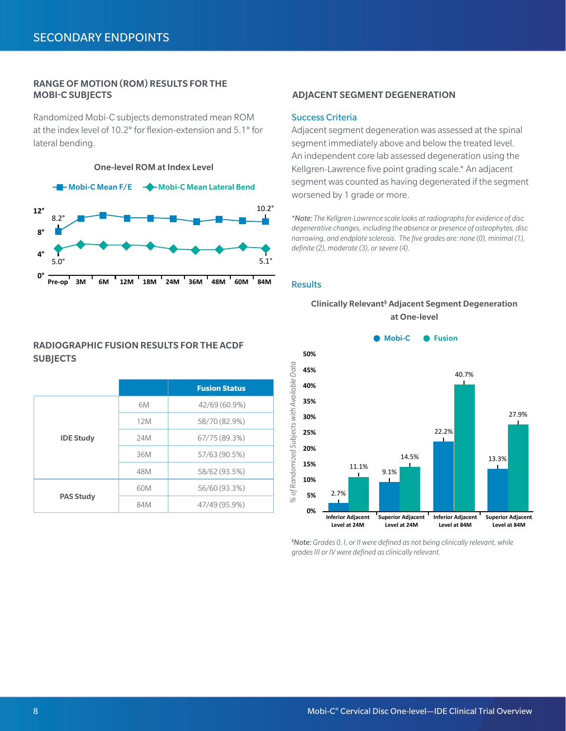#### RANGE OF MOTION (ROM) RESULTS FOR THE MOBI-C SUBJECTS ADJACENT SEGMENT DEGENERATION

Randomized Mobi-C subjects demonstrated mean ROM at the index level of 10.2° for flexion-extension and 5.1° for lateral bending.

One-level ROM at Index Level



# RADIOGRAPHIC FUSION RESULTS FOR THE ACDF **SUBJECTS**

|                                      |     | <b>Fusion Status</b> |
|--------------------------------------|-----|----------------------|
| <b>IDE Study</b><br><b>PAS Study</b> | 6M  | 42/69 (60.9%)        |
|                                      | 12M | 58/70 (82.9%)        |
|                                      | 24M | 67/75 (89.3%)        |
|                                      | 36M | 57/63 (90.5%)        |
|                                      | 48M | 58/62 (93.5%)        |
|                                      | 60M | 56/60 (93.3%)        |
|                                      | 84M | 47/49 (95.9%)        |

#### Success Criteria

Adjacent segment degeneration was assessed at the spinal segment immediately above and below the treated level. An independent core lab assessed degeneration using the Kellgren-Lawrence five point grading scale.\* An adjacent segment was counted as having degenerated if the segment worsened by 1 grade or more.

*\*Note: The Kellgren-Lawrence scale looks at radiographs for evidence of disc degenerative changes, including the absence or presence of osteophytes, disc narrowing, and endplate sclerosis. The five grades are: none (0), minimal (1), definite (2), moderate (3), or severe (4).*

#### Results

#### Clinically Relevant§ Adjacent Segment Degeneration at One-level



*§ Note: Grades 0, I, or II were defined as not being clinically relevant, while grades III or IV were defined as clinically relevant.*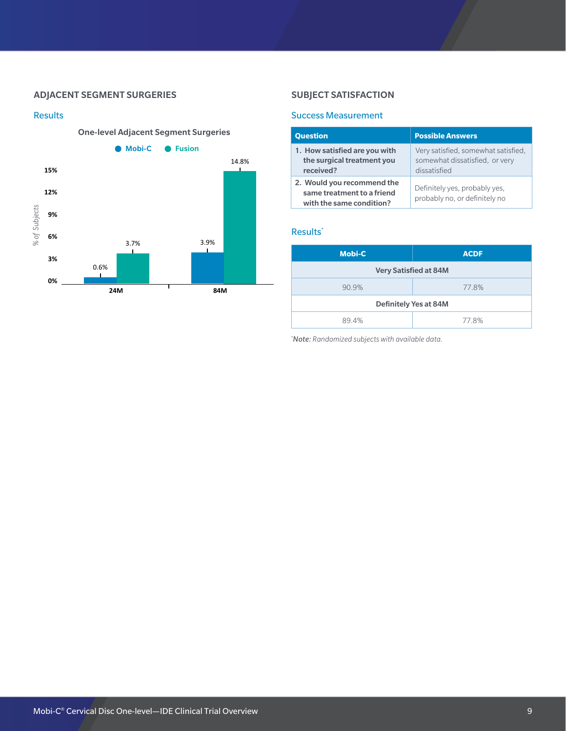### ADJACENT SEGMENT SURGERIES

#### Results



# SUBJECT SATISFACTION

#### Success Measurement

| <b>Question</b>                                                                      | <b>Possible Answers</b>                                                               |
|--------------------------------------------------------------------------------------|---------------------------------------------------------------------------------------|
| 1. How satisfied are you with<br>the surgical treatment you<br>received?             | Very satisfied, somewhat satisfied,<br>somewhat dissatisfied, or very<br>dissatisfied |
| 2. Would you recommend the<br>same treatment to a friend<br>with the same condition? | Definitely yes, probably yes,<br>probably no, or definitely no                        |

#### Results\*

| <b>Mobi-C</b>                | <b>ACDF</b> |
|------------------------------|-------------|
| <b>Very Satisfied at 84M</b> |             |
| 90.9%                        | 77.8%       |
| <b>Definitely Yes at 84M</b> |             |
| 89.4%                        | 77.8%       |

*\* Note: Randomized subjects with available data.*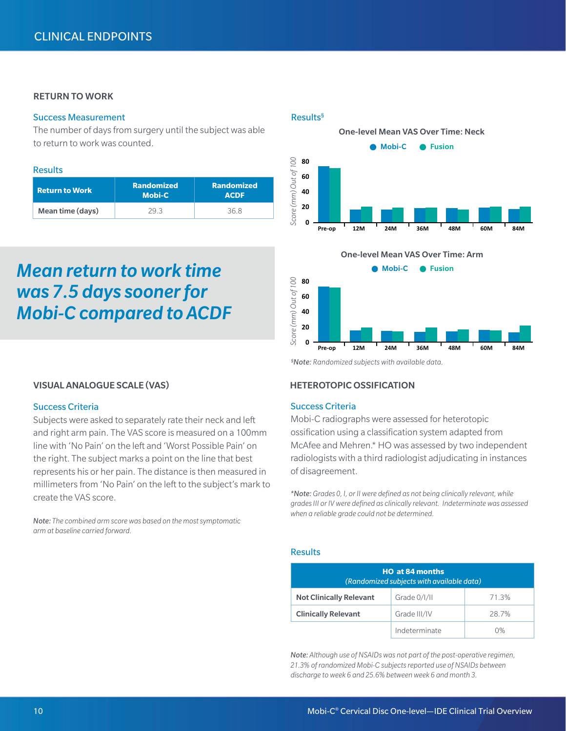# RETURN TO WORK

## Success Measurement

The number of days from surgery until the subject was able to return to work was counted.

#### Results

| <b>Return to Work</b> | <b>Randomized</b><br><b>Mobi-C</b> | <b>Randomized</b><br><b>ACDF</b> |
|-----------------------|------------------------------------|----------------------------------|
| Mean time (days)      | 2d 3                               | 36 R                             |

# *Mean return to work time was 7.5 days sooner for Mobi-C compared to ACDF*

# VISUAL ANALOGUE SCALE (VAS)

#### Success Criteria

Subjects were asked to separately rate their neck and left and right arm pain. The VAS score is measured on a 100mm line with 'No Pain' on the left and 'Worst Possible Pain' on the right. The subject marks a point on the line that best represents his or her pain. The distance is then measured in millimeters from 'No Pain' on the left to the subject's mark to create the VAS score.

*Note: The combined arm score was based on the most symptomatic arm at baseline carried forward.*

#### Results§





*§ Note: Randomized subjects with available data.*

# HETEROTOPIC OSSIFICATION

#### Success Criteria

Mobi-C radiographs were assessed for heterotopic ossification using a classification system adapted from McAfee and Mehren.\* HO was assessed by two independent radiologists with a third radiologist adjudicating in instances of disagreement.

*\*Note: Grades 0, I, or II were defined as not being clinically relevant, while grades III or IV were defined as clinically relevant. Indeterminate was assessed when a reliable grade could not be determined.* 

#### Results

| <b>HO at 84 months</b><br>(Randomized subjects with available data) |               |       |
|---------------------------------------------------------------------|---------------|-------|
| <b>Not Clinically Relevant</b>                                      | Grade 0/l/ll  | 71.3% |
| <b>Clinically Relevant</b>                                          | Grade III/IV  | 28.7% |
|                                                                     | Indeterminate | $0\%$ |

*Note: Although use of NSAIDs was not part of the post-operative regimen, 21.3% of randomized Mobi-C subjects reported use of NSAIDs between*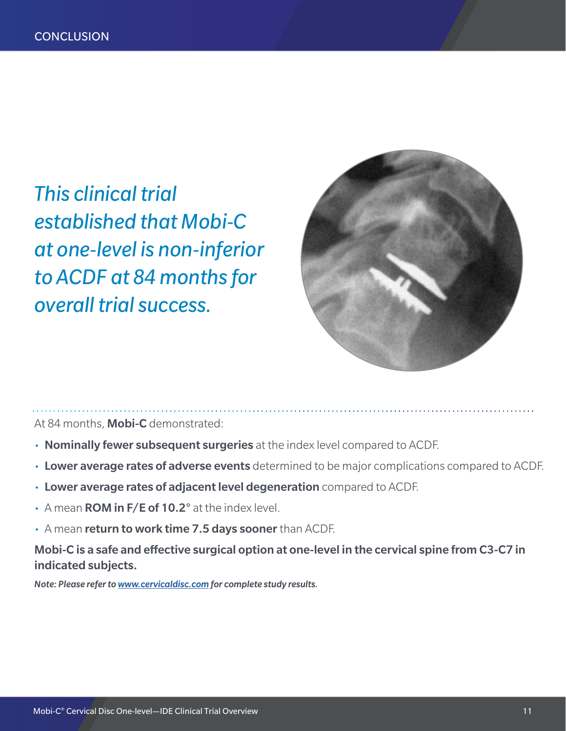*This clinical trial established that Mobi-C at one-level is non-inferior to ACDF at 84 months for overall trial success.* 



At 84 months, Mobi-C demonstrated:

- Nominally fewer subsequent surgeries at the index level compared to ACDF.
- Lower average rates of adverse events determined to be major complications compared to ACDF.
- Lower average rates of adjacent level degeneration compared to ACDF.
- $\cdot$  A mean **ROM in F/E of 10.2°** at the index level.
- A mean return to work time 7.5 days sooner than ACDF.

Mobi-C is a safe and effective surgical option at one-level in the cervical spine from C3-C7 in indicated subjects.

*Note: Please refer to www.cervicaldisc.com for complete study results.*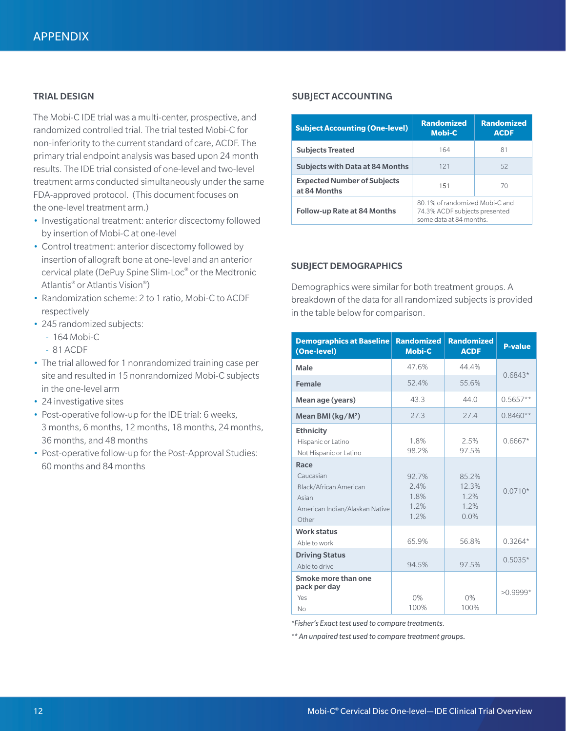The Mobi-C IDE trial was a multi-center, prospective, and randomized controlled trial. The trial tested Mobi-C for non-inferiority to the current standard of care, ACDF. The primary trial endpoint analysis was based upon 24 month results. The IDE trial consisted of one-level and two-level treatment arms conducted simultaneously under the same FDA-approved protocol. (This document focuses on the one-level treatment arm.)

- Investigational treatment: anterior discectomy followed by insertion of Mobi-C at one-level
- Control treatment: anterior discectomy followed by insertion of allograft bone at one-level and an anterior cervical plate (DePuy Spine Slim-Loc® or the Medtronic Atlantis® or Atlantis Vision®)
- Randomization scheme: 2 to 1 ratio, Mobi-C to ACDF respectively
- 245 randomized subjects:
	- --   164 Mobi-C
	- --   81 ACDF
- The trial allowed for 1 nonrandomized training case per site and resulted in 15 nonrandomized Mobi-C subjects in the one-level arm
- 24 investigative sites
- Post-operative follow-up for the IDE trial: 6 weeks, 3 months, 6 months, 12 months, 18 months, 24 months, 36 months, and 48 months
- Post-operative follow-up for the Post-Approval Studies: 60 months and 84 months

# TRIAL DESIGN SUBJECT ACCOUNTING

| <b>Subject Accounting (One-level)</b>              | <b>Randomized</b><br><b>Mobi-C</b>                                                         | <b>Randomized</b><br><b>ACDF</b> |
|----------------------------------------------------|--------------------------------------------------------------------------------------------|----------------------------------|
| <b>Subjects Treated</b>                            | 164                                                                                        | 81                               |
| <b>Subjects with Data at 84 Months</b>             | 121                                                                                        | 52                               |
| <b>Expected Number of Subjects</b><br>at 84 Months | 70<br>151                                                                                  |                                  |
| <b>Follow-up Rate at 84 Months</b>                 | 80.1% of randomized Mobi-C and<br>74.3% ACDF subjects presented<br>some data at 84 months. |                                  |

#### SUBJECT DEMOGRAPHICS

Demographics were similar for both treatment groups. A breakdown of the data for all randomized subjects is provided in the table below for comparison.

| <b>Demographics at Baseline</b><br>(One-level)                                                  | <b>Randomized</b><br><b>Mobi-C</b>    | <b>Randomized</b><br><b>ACDE</b>       | <b>P-value</b> |
|-------------------------------------------------------------------------------------------------|---------------------------------------|----------------------------------------|----------------|
| Male                                                                                            | 47.6%                                 | 44 4%                                  | $0.6843*$      |
| <b>Female</b>                                                                                   | 52.4%                                 | 55.6%                                  |                |
| Mean age (years)                                                                                | 43.3                                  | 44.0                                   | $0.5657**$     |
| Mean BMI (kg/M <sup>2</sup> )                                                                   | 27.3                                  | 27.4                                   | $0.8460**$     |
| <b>Ethnicity</b><br>Hispanic or Latino<br>Not Hispanic or Latino                                | 1.8%<br>98.2%                         | 2.5%<br>97.5%                          | $0.6667*$      |
| Race<br>Caucasian<br>Black/African American<br>Asian<br>American Indian/Alaskan Native<br>Other | 92.7%<br>2.4%<br>1.8%<br>1.2%<br>1.2% | 85.2%<br>12.3%<br>1.2%<br>1.2%<br>0.0% | $0.0710*$      |
| <b>Work status</b><br>Able to work                                                              | 65.9%                                 | 56.8%                                  | $0.3264*$      |
| <b>Driving Status</b><br>Able to drive                                                          | 94.5%                                 | 97.5%                                  | $0.5035*$      |
| Smoke more than one<br>pack per day<br>Yes<br><b>No</b>                                         | 0%<br>100%                            | 0%<br>100%                             | $>0.9999*$     |

*\*Fisher's Exact test used to compare treatments.* 

*\*\* An unpaired test used to compare treatment groups.*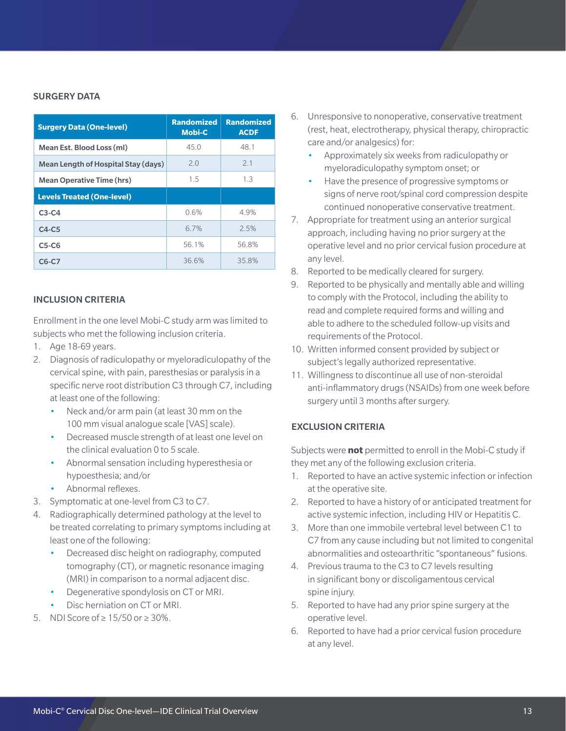# SURGERY DATA

| <b>Surgery Data (One-level)</b>     | <b>Randomized</b><br><b>Mobi-C</b> | <b>Randomized</b><br><b>ACDF</b> |
|-------------------------------------|------------------------------------|----------------------------------|
| Mean Est. Blood Loss (ml)           | 45.0                               | 48.1                             |
| Mean Length of Hospital Stay (days) | 2.0                                | 2.1                              |
| <b>Mean Operative Time (hrs)</b>    | 1.5                                | 1.3                              |
| <b>Levels Treated (One-level)</b>   |                                    |                                  |
| $C3-C4$                             | 0.6%                               | 4.9%                             |
| $C4-C5$                             | 67%                                | 2.5%                             |
| $C5-C6$                             | 56.1%                              | 56.8%                            |
| C6-C7                               | 36.6%                              | 35.8%                            |

#### INCLUSION CRITERIA

Enrollment in the one level Mobi-C study arm was limited to subjects who met the following inclusion criteria.

- 1. Age 18-69 years.
- 2. Diagnosis of radiculopathy or myeloradiculopathy of the cervical spine, with pain, paresthesias or paralysis in a specific nerve root distribution C3 through C7, including at least one of the following:
	- Neck and/or arm pain (at least 30 mm on the 100 mm visual analogue scale [VAS] scale).
	- Decreased muscle strength of at least one level on the clinical evaluation 0 to 5 scale.
	- Abnormal sensation including hyperesthesia or hypoesthesia; and/or
	- Abnormal reflexes.
- 3. Symptomatic at one-level from C3 to C7.
- 4. Radiographically determined pathology at the level to be treated correlating to primary symptoms including at least one of the following:
	- Decreased disc height on radiography, computed tomography (CT), or magnetic resonance imaging (MRI) in comparison to a normal adjacent disc.
	- Degenerative spondylosis on CT or MRI.
	- Disc herniation on CT or MRI.
- 5. NDI Score of  $\geq 15/50$  or  $\geq 30\%$ .
- 6. Unresponsive to nonoperative, conservative treatment (rest, heat, electrotherapy, physical therapy, chiropractic care and/or analgesics) for:
	- Approximately six weeks from radiculopathy or myeloradiculopathy symptom onset; or
	- Have the presence of progressive symptoms or signs of nerve root/spinal cord compression despite continued nonoperative conservative treatment.
- 7. Appropriate for treatment using an anterior surgical approach, including having no prior surgery at the operative level and no prior cervical fusion procedure at any level.
- 8. Reported to be medically cleared for surgery.
- 9. Reported to be physically and mentally able and willing to comply with the Protocol, including the ability to read and complete required forms and willing and able to adhere to the scheduled follow-up visits and requirements of the Protocol.
- 10. Written informed consent provided by subject or subject's legally authorized representative.
- 11. Willingness to discontinue all use of non-steroidal anti-inflammatory drugs (NSAIDs) from one week before surgery until 3 months after surgery.

# EXCLUSION CRITERIA

Subjects were **not** permitted to enroll in the Mobi-C study if they met any of the following exclusion criteria.

- 1. Reported to have an active systemic infection or infection at the operative site.
- 2. Reported to have a history of or anticipated treatment for active systemic infection, including HIV or Hepatitis C.
- 3. More than one immobile vertebral level between C1 to C7 from any cause including but not limited to congenital abnormalities and osteoarthritic "spontaneous" fusions.
- 4. Previous trauma to the C3 to C7 levels resulting in significant bony or discoligamentous cervical spine injury.
- 5. Reported to have had any prior spine surgery at the operative level.
- 6. Reported to have had a prior cervical fusion procedure at any level.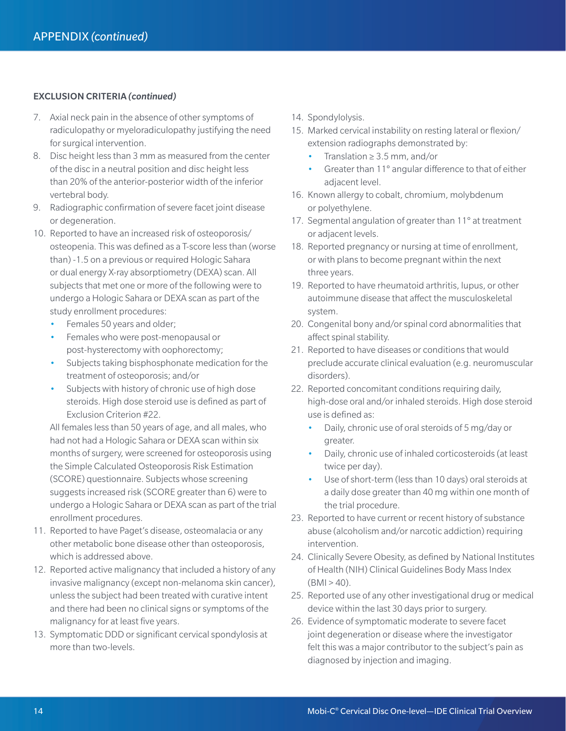# EXCLUSION CRITERIA *(continued)*

- 7. Axial neck pain in the absence of other symptoms of radiculopathy or myeloradiculopathy justifying the need for surgical intervention.
- 8. Disc height less than 3 mm as measured from the center of the disc in a neutral position and disc height less than 20% of the anterior-posterior width of the inferior vertebral body.
- 9. Radiographic confirmation of severe facet joint disease or degeneration.
- 10. Reported to have an increased risk of osteoporosis/ osteopenia. This was defined as a T-score less than (worse than) -1.5 on a previous or required Hologic Sahara or dual energy X-ray absorptiometry (DEXA) scan. All subjects that met one or more of the following were to undergo a Hologic Sahara or DEXA scan as part of the study enrollment procedures:
	- Females 50 years and older;
	- Females who were post-menopausal or post-hysterectomy with oophorectomy;
	- Subjects taking bisphosphonate medication for the treatment of osteoporosis; and/or
	- Subjects with history of chronic use of high dose steroids. High dose steroid use is defined as part of Exclusion Criterion #22.

All females less than 50 years of age, and all males, who had not had a Hologic Sahara or DEXA scan within six months of surgery, were screened for osteoporosis using the Simple Calculated Osteoporosis Risk Estimation (SCORE) questionnaire. Subjects whose screening suggests increased risk (SCORE greater than 6) were to undergo a Hologic Sahara or DEXA scan as part of the trial enrollment procedures.

- 11. Reported to have Paget's disease, osteomalacia or any other metabolic bone disease other than osteoporosis, which is addressed above.
- 12. Reported active malignancy that included a history of any invasive malignancy (except non-melanoma skin cancer), unless the subject had been treated with curative intent and there had been no clinical signs or symptoms of the malignancy for at least five years.
- 13. Symptomatic DDD or significant cervical spondylosis at more than two-levels.
- 14. Spondylolysis.
- 15. Marked cervical instability on resting lateral or flexion/ extension radiographs demonstrated by:
	- Translation  $\geq 3.5$  mm, and/or
	- Greater than 11° angular difference to that of either adjacent level.
- 16. Known allergy to cobalt, chromium, molybdenum or polyethylene.
- 17. Segmental angulation of greater than 11° at treatment or adjacent levels.
- 18. Reported pregnancy or nursing at time of enrollment, or with plans to become pregnant within the next three years.
- 19. Reported to have rheumatoid arthritis, lupus, or other autoimmune disease that affect the musculoskeletal system.
- 20. Congenital bony and/or spinal cord abnormalities that affect spinal stability.
- 21. Reported to have diseases or conditions that would preclude accurate clinical evaluation (e.g. neuromuscular disorders).
- 22. Reported concomitant conditions requiring daily, high-dose oral and/or inhaled steroids. High dose steroid use is defined as:
	- Daily, chronic use of oral steroids of 5 mg/day or greater.
	- Daily, chronic use of inhaled corticosteroids (at least twice per day).
	- Use of short-term (less than 10 days) oral steroids at a daily dose greater than 40 mg within one month of the trial procedure.
- 23. Reported to have current or recent history of substance abuse (alcoholism and/or narcotic addiction) requiring intervention.
- 24. Clinically Severe Obesity, as defined by National Institutes of Health (NIH) Clinical Guidelines Body Mass Index  $(BMI > 40)$ .
- 25. Reported use of any other investigational drug or medical device within the last 30 days prior to surgery.
- 26. Evidence of symptomatic moderate to severe facet joint degeneration or disease where the investigator felt this was a major contributor to the subject's pain as diagnosed by injection and imaging.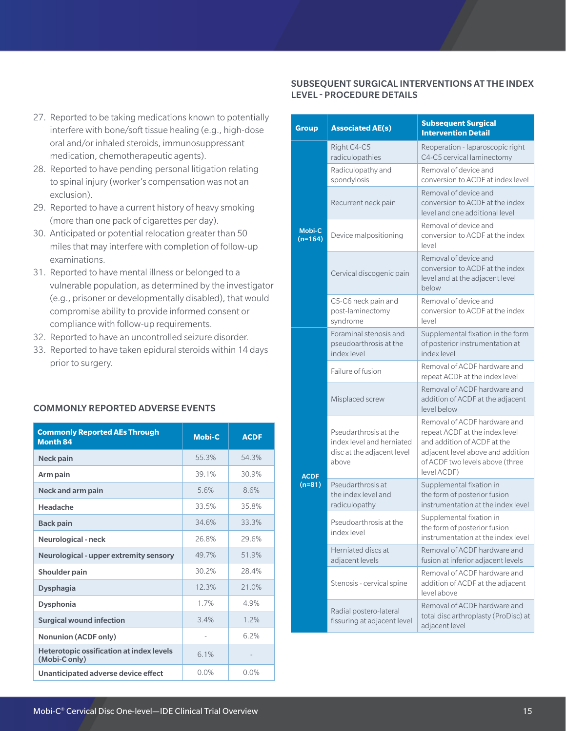# SUBSEQUENT SURGICAL INTERVENTIONS AT THE INDEX LEVEL - PROCEDURE DETAILS

| 27. Reported to be taking medications known to potentially |
|------------------------------------------------------------|
| interfere with bone/soft tissue healing (e.g., high-dose   |
| oral and/or inhaled steroids, immunosuppressant            |
| medication, chemotherapeutic agents).                      |
|                                                            |

- 28. Reported to have pending personal litigation relating to spinal injury (worker's compensation was not an exclusion).
- 29. Reported to have a current history of heavy smoking (more than one pack of cigarettes per day).
- 30. Anticipated or potential relocation greater than 50 miles that may interfere with completion of follow-up examinations.
- 31. Reported to have mental illness or belonged to a vulnerable population, as determined by the investigator (e.g., prisoner or developmentally disabled), that would compromise ability to provide informed consent or compliance with follow-up requirements.
- 32. Reported to have an uncontrolled seizure disorder.
- 33. Reported to have taken epidural steroids within 14 days prior to surgery.

## COMMONLY REPORTED ADVERSE EVENTS

| <b>Commonly Reported AEs Through</b><br><b>Month 84</b>          | <b>Mobi-C</b> | <b>ACDF</b> |
|------------------------------------------------------------------|---------------|-------------|
| Neck pain                                                        | 55.3%         | 54.3%       |
| Arm pain                                                         | 39 1%         | 30.9%       |
| Neck and arm pain                                                | 5.6%          | 8.6%        |
| Headache                                                         | 33.5%         | 358%        |
| <b>Back pain</b>                                                 | 34.6%         | 33.3%       |
| <b>Neurological - neck</b>                                       | 26.8%         | 29.6%       |
| Neurological - upper extremity sensory                           | 49 7%         | 519%        |
| <b>Shoulder pain</b>                                             | 30.2%         | 28.4%       |
| <b>Dysphagia</b>                                                 | 12.3%         | $21.0\%$    |
| <b>Dysphonia</b>                                                 | 1 7%          | 4 9%        |
| <b>Surgical wound infection</b>                                  | 34%           | 1.2%        |
| <b>Nonunion (ACDF only)</b>                                      |               | 62%         |
| <b>Heterotopic ossification at index levels</b><br>(Mobi-C only) | 6.1%          |             |
| Unanticipated adverse device effect                              | $0.0\%$       | $0.0\%$     |

| Group                      | <b>Associated AE(s)</b>                                                                   | <b>Subsequent Surgical</b><br><b>Intervention Detail</b>                                                                                                                             |
|----------------------------|-------------------------------------------------------------------------------------------|--------------------------------------------------------------------------------------------------------------------------------------------------------------------------------------|
| <b>Mobi-C</b><br>$(n=164)$ | Right C4-C5<br>radiculopathies                                                            | Reoperation - laparoscopic right<br>C4-C5 cervical laminectomy                                                                                                                       |
|                            | Radiculopathy and<br>spondylosis                                                          | Removal of device and<br>conversion to ACDF at index level                                                                                                                           |
|                            | Recurrent neck pain                                                                       | Removal of device and<br>conversion to ACDF at the index<br>level and one additional level                                                                                           |
|                            | Device malpositioning                                                                     | Removal of device and<br>conversion to ACDF at the index<br>level                                                                                                                    |
|                            | Cervical discogenic pain                                                                  | Removal of device and<br>conversion to ACDF at the index<br>level and at the adjacent level<br>below                                                                                 |
|                            | C5-C6 neck pain and<br>post-laminectomy<br>svndrome                                       | Removal of device and<br>conversion to ACDF at the index<br>level                                                                                                                    |
| <b>ACDF</b><br>$(n=81)$    | Foraminal stenosis and<br>pseudoarthrosis at the<br>index level                           | Supplemental fixation in the form<br>of posterior instrumentation at<br>index level                                                                                                  |
|                            | Failure of fusion                                                                         | Removal of ACDF hardware and<br>repeat ACDF at the index level                                                                                                                       |
|                            | Misplaced screw                                                                           | Removal of ACDF hardware and<br>addition of ACDF at the adjacent<br>level below                                                                                                      |
|                            | Pseudarthrosis at the<br>index level and herniated<br>disc at the adjacent level<br>above | Removal of ACDF hardware and<br>repeat ACDF at the index level<br>and addition of ACDF at the<br>adjacent level above and addition<br>of ACDF two levels above (three<br>level ACDF) |
|                            | Pseudarthrosis at<br>the index level and<br>radiculopathy                                 | Supplemental fixation in<br>the form of posterior fusion<br>instrumentation at the index level                                                                                       |
|                            | Pseudoarthrosis at the<br>index level                                                     | Supplemental fixation in<br>the form of posterior fusion<br>instrumentation at the index level                                                                                       |
|                            | Herniated discs at<br>adjacent levels                                                     | Removal of ACDF hardware and<br>fusion at inferior adjacent levels                                                                                                                   |
|                            | Stenosis - cervical spine                                                                 | Removal of ACDF hardware and<br>addition of ACDF at the adjacent<br>level above                                                                                                      |
|                            | Radial postero-lateral<br>fissuring at adjacent level                                     | Removal of ACDF hardware and<br>total disc arthroplasty (ProDisc) at<br>adjacent level                                                                                               |